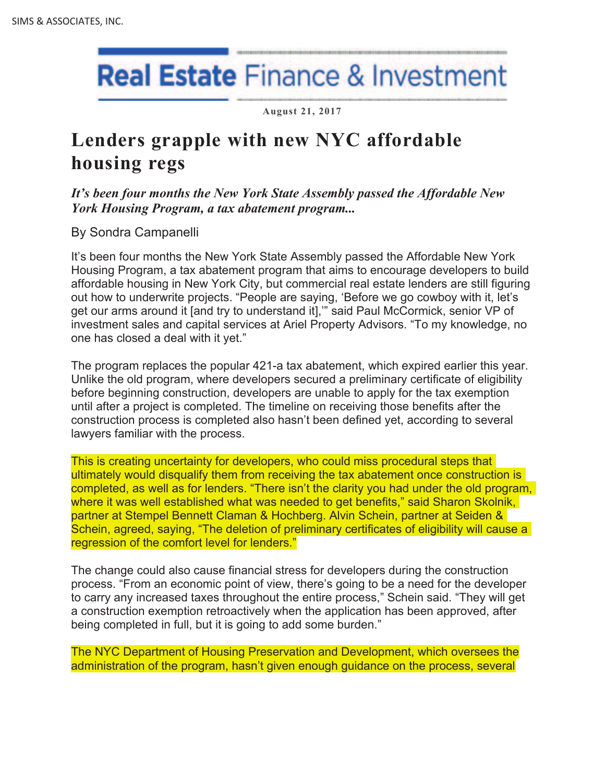## **Real Estate** Finance & Investment

**August 21, 2017**

## **Lenders grapple with new NYC affordable housing regs**

*It's been four months the New York State Assembly passed the Affordable New York Housing Program, a tax abatement program...* 

By Sondra Campanelli

It's been four months the New York State Assembly passed the Affordable New York Housing Program, a tax abatement program that aims to encourage developers to build affordable housing in New York City, but commercial real estate lenders are still figuring out how to underwrite projects. "People are saying, 'Before we go cowboy with it, let's get our arms around it [and try to understand it],'" said Paul McCormick, senior VP of investment sales and capital services at Ariel Property Advisors. "To my knowledge, no one has closed a deal with it yet."

The program replaces the popular 421-a tax abatement, which expired earlier this year. Unlike the old program, where developers secured a preliminary certificate of eligibility before beginning construction, developers are unable to apply for the tax exemption until after a project is completed. The timeline on receiving those benefits after the construction process is completed also hasn't been defined yet, according to several lawyers familiar with the process.

This is creating uncertainty for developers, who could miss procedural steps that ultimately would disqualify them from receiving the tax abatement once construction is completed, as well as for lenders. "There isn't the clarity you had under the old program, where it was well established what was needed to get benefits," said Sharon Skolnik, partner at Stempel Bennett Claman & Hochberg. Alvin Schein, partner at Seiden & Schein, agreed, saying, "The deletion of preliminary certificates of eligibility will cause a regression of the comfort level for lenders."

The change could also cause financial stress for developers during the construction process. "From an economic point of view, there's going to be a need for the developer to carry any increased taxes throughout the entire process," Schein said. "They will get a construction exemption retroactively when the application has been approved, after being completed in full, but it is going to add some burden."

The NYC Department of Housing Preservation and Development, which oversees the administration of the program, hasn't given enough guidance on the process, several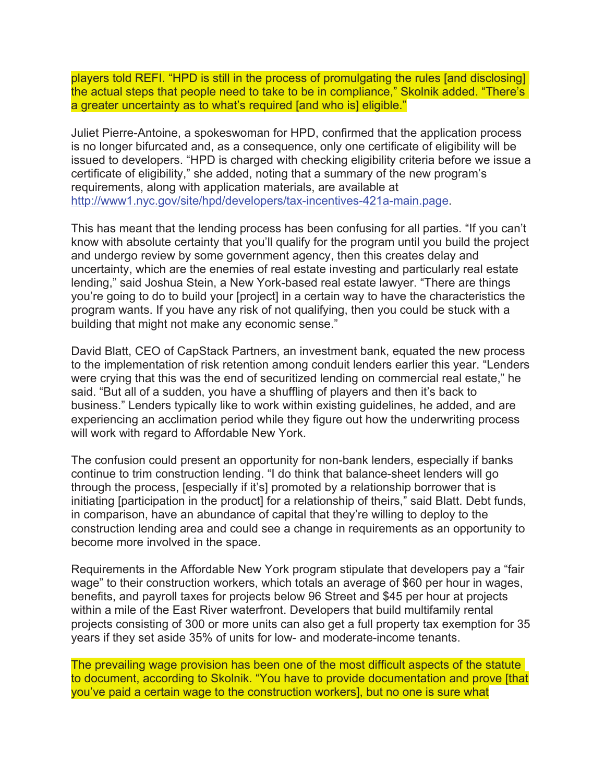players told REFI. "HPD is still in the process of promulgating the rules [and disclosing] the actual steps that people need to take to be in compliance," Skolnik added. "There's a greater uncertainty as to what's required [and who is] eligible."

Juliet Pierre-Antoine, a spokeswoman for HPD, confirmed that the application process is no longer bifurcated and, as a consequence, only one certificate of eligibility will be issued to developers. "HPD is charged with checking eligibility criteria before we issue a certificate of eligibility," she added, noting that a summary of the new program's requirements, along with application materials, are available at http://www1.nyc.gov/site/hpd/developers/tax-incentives-421a-main.page.

This has meant that the lending process has been confusing for all parties. "If you can't know with absolute certainty that you'll qualify for the program until you build the project and undergo review by some government agency, then this creates delay and uncertainty, which are the enemies of real estate investing and particularly real estate lending," said Joshua Stein, a New York-based real estate lawyer. "There are things you're going to do to build your [project] in a certain way to have the characteristics the program wants. If you have any risk of not qualifying, then you could be stuck with a building that might not make any economic sense."

David Blatt, CEO of CapStack Partners, an investment bank, equated the new process to the implementation of risk retention among conduit lenders earlier this year. "Lenders were crying that this was the end of securitized lending on commercial real estate," he said. "But all of a sudden, you have a shuffling of players and then it's back to business." Lenders typically like to work within existing guidelines, he added, and are experiencing an acclimation period while they figure out how the underwriting process will work with regard to Affordable New York.

The confusion could present an opportunity for non-bank lenders, especially if banks continue to trim construction lending. "I do think that balance-sheet lenders will go through the process, [especially if it's] promoted by a relationship borrower that is initiating [participation in the product] for a relationship of theirs," said Blatt. Debt funds, in comparison, have an abundance of capital that they're willing to deploy to the construction lending area and could see a change in requirements as an opportunity to become more involved in the space.

Requirements in the Affordable New York program stipulate that developers pay a "fair wage" to their construction workers, which totals an average of \$60 per hour in wages, benefits, and payroll taxes for projects below 96 Street and \$45 per hour at projects within a mile of the East River waterfront. Developers that build multifamily rental projects consisting of 300 or more units can also get a full property tax exemption for 35 years if they set aside 35% of units for low- and moderate-income tenants.

The prevailing wage provision has been one of the most difficult aspects of the statute to document, according to Skolnik. "You have to provide documentation and prove [that you've paid a certain wage to the construction workers], but no one is sure what